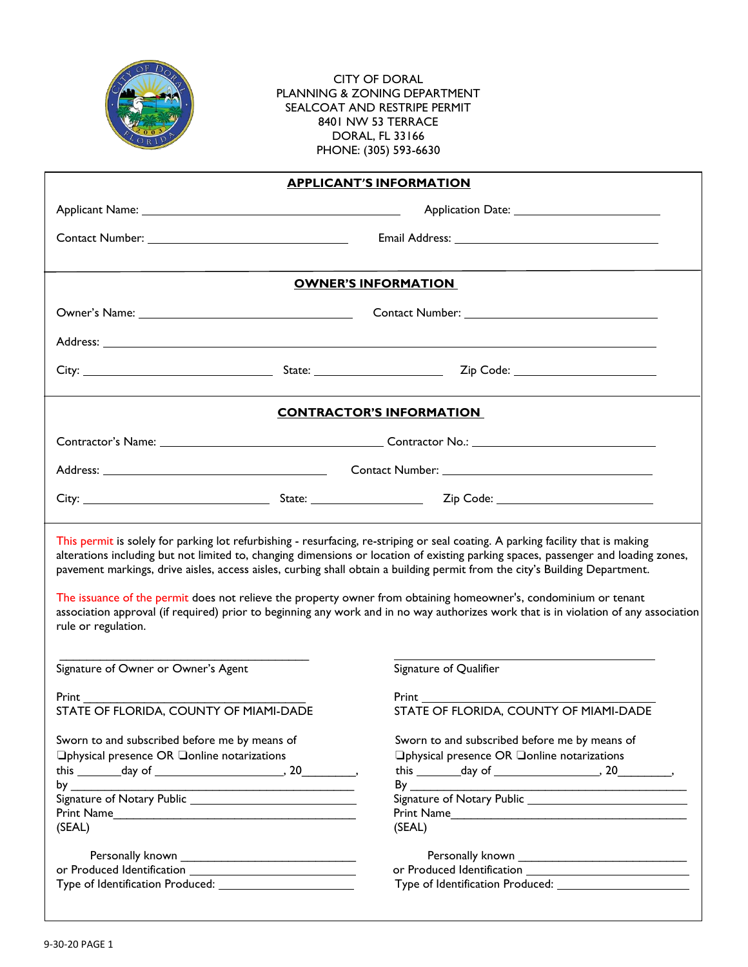

CITY OF DORAL PLANNING & ZONING DEPARTMENT SEALCOAT AND RESTRIPE PERMIT 8401 NW 53 TERRACE DORAL, FL 33166 PHONE: (305) 593-6630

| <b>APPLICANT'S INFORMATION</b>                                                                                                                                                                                                                                                                                                                                                                                                                                                                                                                                                                                                                                                           |  |                                                                                                                                                                                                                                                                                                                                                        |  |  |  |  |  |  |  |
|------------------------------------------------------------------------------------------------------------------------------------------------------------------------------------------------------------------------------------------------------------------------------------------------------------------------------------------------------------------------------------------------------------------------------------------------------------------------------------------------------------------------------------------------------------------------------------------------------------------------------------------------------------------------------------------|--|--------------------------------------------------------------------------------------------------------------------------------------------------------------------------------------------------------------------------------------------------------------------------------------------------------------------------------------------------------|--|--|--|--|--|--|--|
|                                                                                                                                                                                                                                                                                                                                                                                                                                                                                                                                                                                                                                                                                          |  |                                                                                                                                                                                                                                                                                                                                                        |  |  |  |  |  |  |  |
|                                                                                                                                                                                                                                                                                                                                                                                                                                                                                                                                                                                                                                                                                          |  |                                                                                                                                                                                                                                                                                                                                                        |  |  |  |  |  |  |  |
| <b>OWNER'S INFORMATION</b>                                                                                                                                                                                                                                                                                                                                                                                                                                                                                                                                                                                                                                                               |  |                                                                                                                                                                                                                                                                                                                                                        |  |  |  |  |  |  |  |
|                                                                                                                                                                                                                                                                                                                                                                                                                                                                                                                                                                                                                                                                                          |  |                                                                                                                                                                                                                                                                                                                                                        |  |  |  |  |  |  |  |
|                                                                                                                                                                                                                                                                                                                                                                                                                                                                                                                                                                                                                                                                                          |  |                                                                                                                                                                                                                                                                                                                                                        |  |  |  |  |  |  |  |
|                                                                                                                                                                                                                                                                                                                                                                                                                                                                                                                                                                                                                                                                                          |  |                                                                                                                                                                                                                                                                                                                                                        |  |  |  |  |  |  |  |
| <b>CONTRACTOR'S INFORMATION</b>                                                                                                                                                                                                                                                                                                                                                                                                                                                                                                                                                                                                                                                          |  |                                                                                                                                                                                                                                                                                                                                                        |  |  |  |  |  |  |  |
|                                                                                                                                                                                                                                                                                                                                                                                                                                                                                                                                                                                                                                                                                          |  |                                                                                                                                                                                                                                                                                                                                                        |  |  |  |  |  |  |  |
|                                                                                                                                                                                                                                                                                                                                                                                                                                                                                                                                                                                                                                                                                          |  |                                                                                                                                                                                                                                                                                                                                                        |  |  |  |  |  |  |  |
|                                                                                                                                                                                                                                                                                                                                                                                                                                                                                                                                                                                                                                                                                          |  |                                                                                                                                                                                                                                                                                                                                                        |  |  |  |  |  |  |  |
| This permit is solely for parking lot refurbishing - resurfacing, re-striping or seal coating. A parking facility that is making<br>alterations including but not limited to, changing dimensions or location of existing parking spaces, passenger and loading zones,<br>pavement markings, drive aisles, access aisles, curbing shall obtain a building permit from the city's Building Department.<br>The issuance of the permit does not relieve the property owner from obtaining homeowner's, condominium or tenant<br>association approval (if required) prior to beginning any work and in no way authorizes work that is in violation of any association<br>rule or regulation. |  |                                                                                                                                                                                                                                                                                                                                                        |  |  |  |  |  |  |  |
| Signature of Owner or Owner's Agent                                                                                                                                                                                                                                                                                                                                                                                                                                                                                                                                                                                                                                                      |  | Signature of Qualifier                                                                                                                                                                                                                                                                                                                                 |  |  |  |  |  |  |  |
| <b>Print</b> Prince and the set of the set of the set of the set of the set of the set of the set of the set of the set of the set of the set of the set of the set of the set of the set of the set of the set of the set of the s                                                                                                                                                                                                                                                                                                                                                                                                                                                      |  |                                                                                                                                                                                                                                                                                                                                                        |  |  |  |  |  |  |  |
| STATE OF FLORIDA, COUNTY OF MIAMI-DADE                                                                                                                                                                                                                                                                                                                                                                                                                                                                                                                                                                                                                                                   |  | STATE OF FLORIDA, COUNTY OF MIAMI-DADE                                                                                                                                                                                                                                                                                                                 |  |  |  |  |  |  |  |
| Sworn to and subscribed before me by means of<br>□physical presence OR □online notarizations<br>Print Name<br>(SEAL)                                                                                                                                                                                                                                                                                                                                                                                                                                                                                                                                                                     |  | Sworn to and subscribed before me by means of<br>□physical presence OR □online notarizations<br>this $\_\_\_\_$ day of $\_\_\_\_\_\_$ , 20 \, 20 \, 30 \, 30 \, 30 \, 30 \, 30 \, 30 \, 30 \, 30 \, 30 \, 30 \, 30 \, 30 \, 30 \, 30 \, 30 \, 30 \, 30 \, 30 \, 30 \, 30 \, 30 \, 30 \, 30 \, 30 \, 30 \, 30 \, 30 \, 30 \, 30 \, 30 \<br>By<br>(SEAL) |  |  |  |  |  |  |  |
|                                                                                                                                                                                                                                                                                                                                                                                                                                                                                                                                                                                                                                                                                          |  |                                                                                                                                                                                                                                                                                                                                                        |  |  |  |  |  |  |  |
|                                                                                                                                                                                                                                                                                                                                                                                                                                                                                                                                                                                                                                                                                          |  |                                                                                                                                                                                                                                                                                                                                                        |  |  |  |  |  |  |  |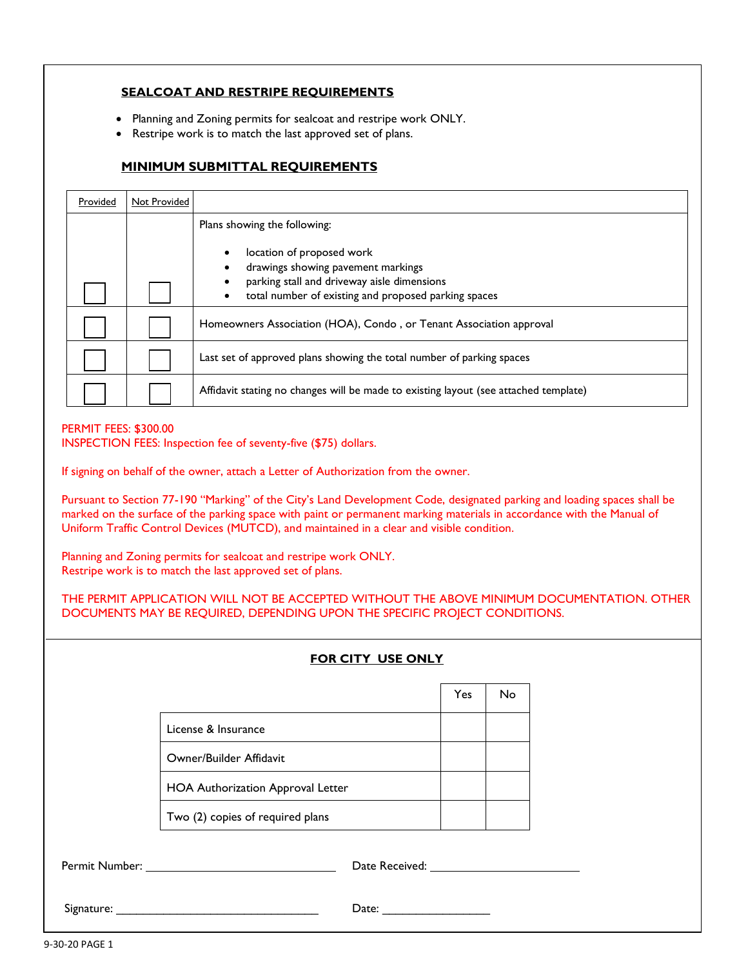## **SEALCOAT AND RESTRIPE REQUIREMENTS**

- Planning and Zoning permits for sealcoat and restripe work ONLY.
- Restripe work is to match the last approved set of plans.

## **MINIMUM SUBMITTAL REQUIREMENTS**

| Provided | <b>Not Provided</b> |                                                                                      |  |
|----------|---------------------|--------------------------------------------------------------------------------------|--|
|          |                     | Plans showing the following:                                                         |  |
|          |                     | location of proposed work                                                            |  |
|          |                     | drawings showing pavement markings                                                   |  |
|          |                     | parking stall and driveway aisle dimensions                                          |  |
|          |                     | total number of existing and proposed parking spaces                                 |  |
|          |                     | Homeowners Association (HOA), Condo, or Tenant Association approval                  |  |
|          |                     | Last set of approved plans showing the total number of parking spaces                |  |
|          |                     | Affidavit stating no changes will be made to existing layout (see attached template) |  |

## PERMIT FEES: \$300.00

INSPECTION FEES: Inspection fee of seventy-five (\$75) dollars.

If signing on behalf of the owner, attach a Letter of Authorization from the owner.

Pursuant to Section 77-190 "Marking" of the City's Land Development Code, designated parking and loading spaces shall be marked on the surface of the parking space with paint or permanent marking materials in accordance with the Manual of Uniform Traffic Control Devices (MUTCD), and maintained in a clear and visible condition.

Planning and Zoning permits for sealcoat and restripe work ONLY. Restripe work is to match the last approved set of plans.

THE PERMIT APPLICATION WILL NOT BE ACCEPTED WITHOUT THE ABOVE MINIMUM DOCUMENTATION. OTHER DOCUMENTS MAY BE REQUIRED, DEPENDING UPON THE SPECIFIC PROJECT CONDITIONS.

| FOR CITY USE ONLY                                                                                                                                                                                                              |                                   |  |     |           |  |  |
|--------------------------------------------------------------------------------------------------------------------------------------------------------------------------------------------------------------------------------|-----------------------------------|--|-----|-----------|--|--|
|                                                                                                                                                                                                                                |                                   |  | Yes | <b>No</b> |  |  |
|                                                                                                                                                                                                                                | License & Insurance               |  |     |           |  |  |
|                                                                                                                                                                                                                                | Owner/Builder Affidavit           |  |     |           |  |  |
|                                                                                                                                                                                                                                | HOA Authorization Approval Letter |  |     |           |  |  |
|                                                                                                                                                                                                                                | Two (2) copies of required plans  |  |     |           |  |  |
| Permit Number: University of the University of the University of the University of the University of the University of the University of the University of the University of the University of the University of the Universit |                                   |  |     |           |  |  |
|                                                                                                                                                                                                                                |                                   |  |     |           |  |  |